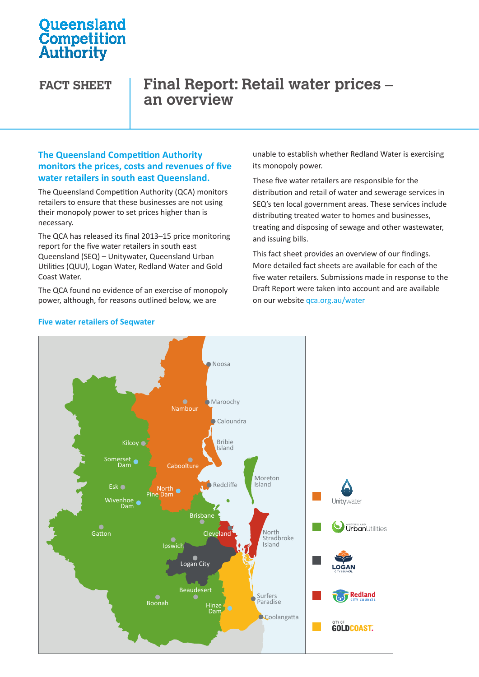# **Oueensland** Competition Authority

# **FACT SHEET Final Report: Retail water prices – an overview**

## **The Queensland Competition Authority monitors the prices, costs and revenues of five water retailers in south east Queensland.**

The Queensland Competition Authority (QCA) monitors retailers to ensure that these businesses are not using their monopoly power to set prices higher than is necessary.

The QCA has released its final 2013–15 price monitoring report for the five water retailers in south east Queensland (SEQ) – Unitywater, Queensland Urban Utilities (QUU), Logan Water, Redland Water and Gold Coast Water.

obast viater.<br>The QCA found no evidence of an exercise of monopoly Braft Repor power, although, for reasons outlined below, we are power, although, for reasons outlined below, we

unable to establish whether Redland Water is exercising its monopoly power.

These five water retailers are responsible for the distribution and retail of water and sewerage services in SEQ's ten local government areas. These services include distributing treated water to homes and businesses, treating and disposing of sewage and other wastewater, and issuing bills.

This fact sheet provides an overview of our findings. More detailed fact sheets are available for each of the five water retailers. Submissions made in response to the Draft Report were taken into account and are available on our website qca.org.au/water



## **Five water retailers of Seqwater**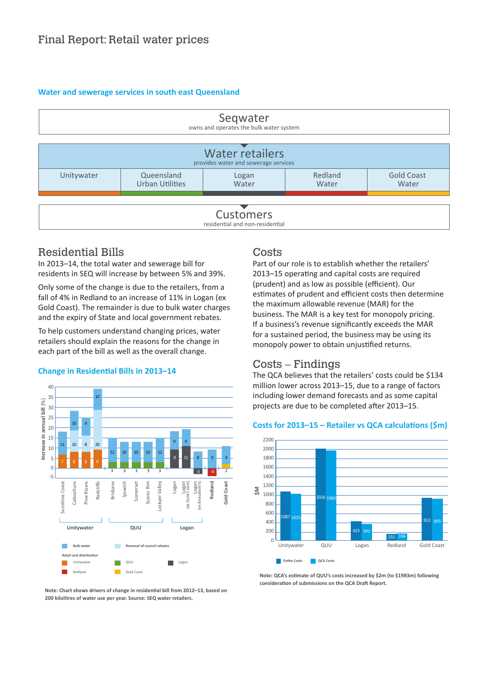### **Water and sewerage services in south east Queensland**



## Residential Bills

In 2013–14, the total water and sewerage bill for residents in SEQ will increase by between 5% and 39%.

Only some of the change is due to the retailers, from a fall of 4% in Redland to an increase of 11% in Logan (ex Gold Coast). The remainder is due to bulk water charges and the expiry of State and local government rebates.

To help customers understand changing prices, water retailers should explain the reasons for the change in each part of the bill as well as the overall change.

### **Change in Residential Bills in 2013–14**



#### **Note: Chart shows drivers of change in residential bill from 2012–13, based on 200 kilolitres of water use per year. Source: SEQ water retailers.**

#### Costs  $\overline{Q}$

Part of our role is to establish whether the retailers' 2013-15 operating and capital costs are required (prudent) and as low as possible (efficient). Our estimates of prudent and efficient costs then determine the maximum allowable revenue (MAR) for the business. The MAR is a key test for monopoly pricing.<br>If a business's revenue significantly exceeds the MAR If a business's revenue significantly exceeds the MAR for a sustained period, the business may be using its monopoly power to obtain unjustified returns.  $\overline{a}$ **c**<br> **c**<br> **c**<br> **c**<br> **c** ne<br>S i.<br>Ti st<br>a ir<br>Iz ıc<br>xı r |<br>Ih<br>Is ic<br>g 1<br>e

## Costs – Findings

The QCA believes that the retailers' costs could be \$134 million lower across 2013-15, due to a range of factors milion force actood 2010 - 20, and to a range of ractore<br>
Including lower demand forecasts and as some capital projects are due to be completed after 2013–15. Red a gritante totocas  $\overline{\phantom{a}}$ 

## Costs for 2013-15 - Retailer vs QCA calculations (\$m)



**Note: QCA's estimate of QUU's costs increased by \$2m (to \$1983m) following**  Stradbroke consideration of submissions on the QCA Draft Report.